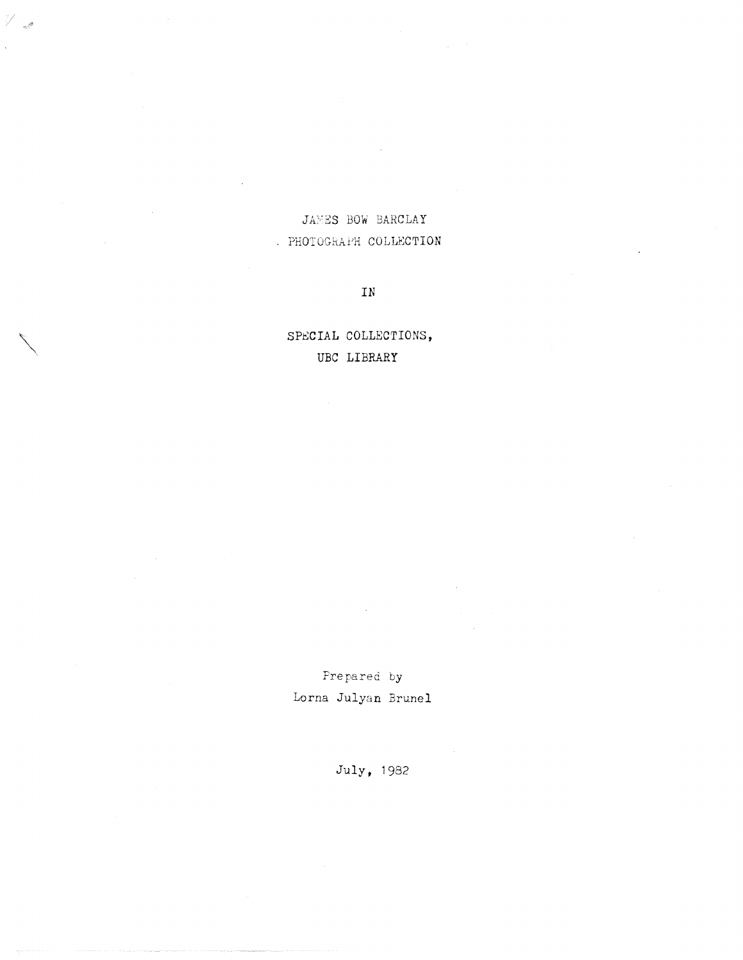## JAMES BOW BARCLAY . PHOTOGRAPH COLLECTION

V<sub>al</sub>a

 ${\tt IN}$ 

SPECIAL COLLECTIONS, UBC LIBRARY

Prepared by Lorna Julyan Brunel

July, 1982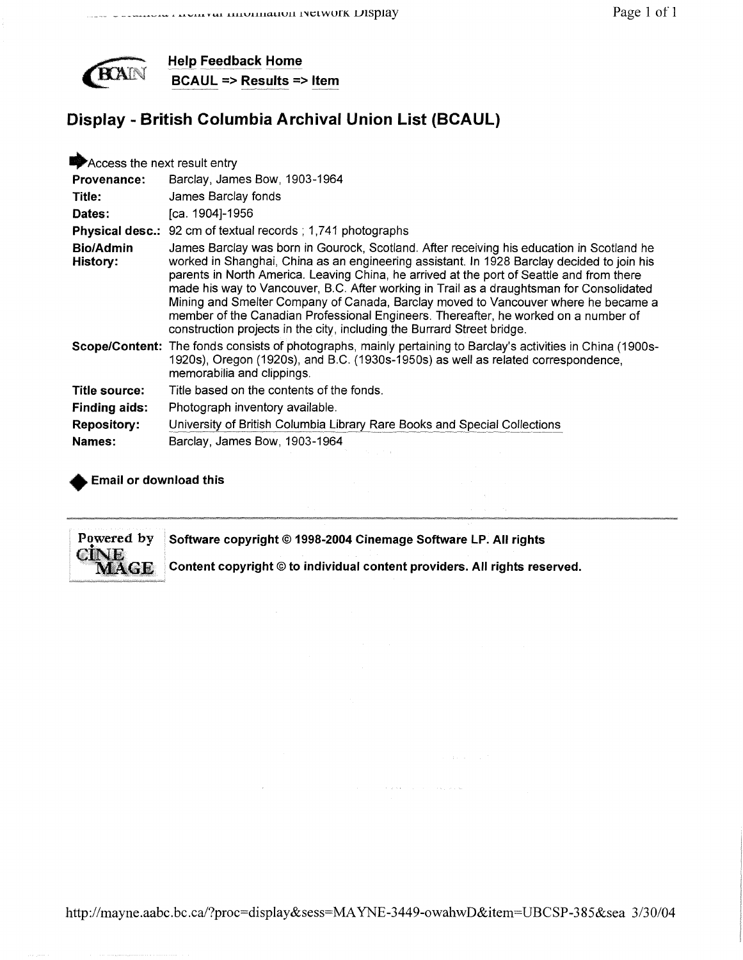

**Help Feedback Home BCAUL => Results => Item**

# **Display - British Columbia Archival Union List (BCAUL)**

| James Barclay was born in Gourock, Scotland. After receiving his education in Scotland he<br>worked in Shanghai, China as an engineering assistant. In 1928 Barclay decided to join his<br>parents in North America. Leaving China, he arrived at the port of Seattle and from there<br>made his way to Vancouver, B.C. After working in Trail as a draughtsman for Consolidated<br>Mining and Smelter Company of Canada, Barclay moved to Vancouver where he became a<br>member of the Canadian Professional Engineers. Thereafter, he worked on a number of |
|---------------------------------------------------------------------------------------------------------------------------------------------------------------------------------------------------------------------------------------------------------------------------------------------------------------------------------------------------------------------------------------------------------------------------------------------------------------------------------------------------------------------------------------------------------------|
| Scope/Content: The fonds consists of photographs, mainly pertaining to Barclay's activities in China (1900s-<br>1920s), Oregon (1920s), and B.C. (1930s-1950s) as well as related correspondence,                                                                                                                                                                                                                                                                                                                                                             |
|                                                                                                                                                                                                                                                                                                                                                                                                                                                                                                                                                               |
|                                                                                                                                                                                                                                                                                                                                                                                                                                                                                                                                                               |
|                                                                                                                                                                                                                                                                                                                                                                                                                                                                                                                                                               |
|                                                                                                                                                                                                                                                                                                                                                                                                                                                                                                                                                               |
|                                                                                                                                                                                                                                                                                                                                                                                                                                                                                                                                                               |

### **Email or download this**

**Powered by Software copyright © 1998-2004 Cinemage Software LP. All rights<br>CINE Content copyright © to individual content providers. All rights reserved MAGE** Content copyright @ to individual content providers. All rights reserved.

 $\alpha$  ,  $\beta$  ,  $\alpha$  ,  $\beta$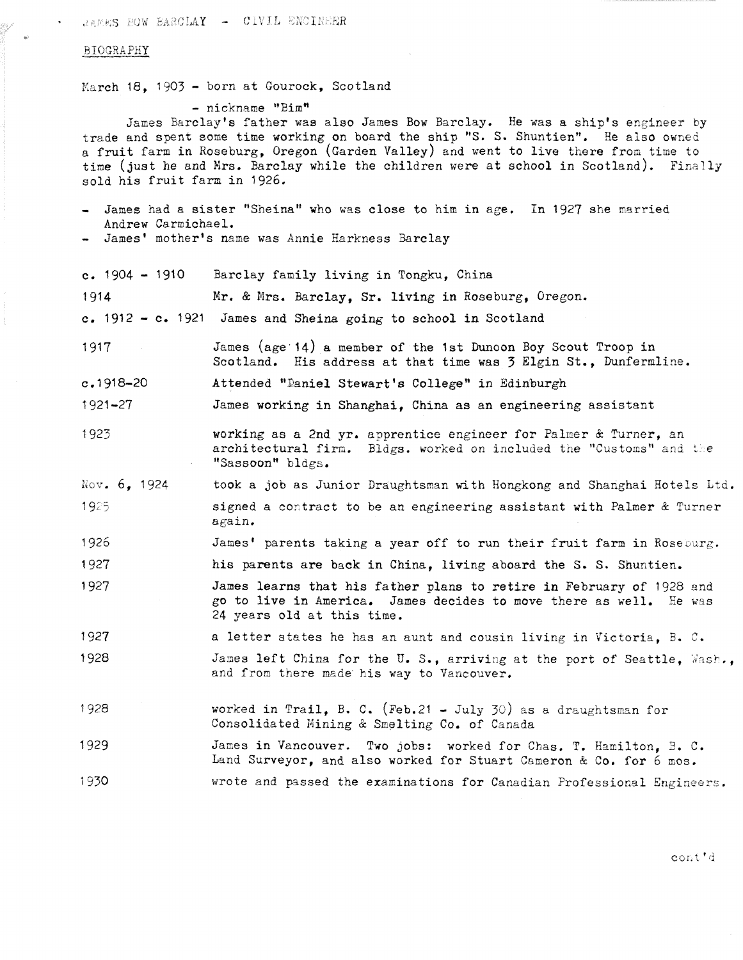JAMES BOW BARCLAY - CIVIL ENCINEER

#### BIOGRAPHY

March 18, 1903 - born at Gourock, Scotland

- nickname "Bim"

James Barclay's father was also James Bow Barclay. He was a ship's engineer by trade and spent some time working on board the ship "S. S. Shuntien". He also owned a fruit farm in Roseburg, Oregon (Garden Valley) and went to live there from time to time (just he and Mrs. Barclay while the children were at school in Scotland). Finally sold his fruit farm in 1926.

- James had a sister "Sheina" who was close to him in age. In 1927 she married Andrew Carmichael . - James' mother's name was Annie Harkness Barclay
- c. 1904 1910 Barclay family living in Tongku. China

1914 Mr. & Mrs. Barclay, Sr. living in Roseburg, Oregon.

- c. 1912 c. 1921 James and Sheina going to school in Scotland
- 1917 James (age 14) a member of the 1st Dunoon Boy Scout Troop in Scotland. His address at that time was  $\frac{1}{2}$  Elgin St., Dunfermline.
- c .1918-20 Attended "Daniel Stewart's College" in Edinburgh

1921-27 **James working in Shanghai, China as an engineering assistant** 

- 1923 **working as a 2nd yr. apprentice engineer for Palmer & Turner, an** architectural firm. Bldgs. worked on included the "Customs" and the "Sassoon" bldgs .
- Nov. 6, 1924 took a job as Junior Draughtsman with Hongkong and Shanghai Hotels Ltd. 1925  $\sim$  signed a contract to be an engineering assistant with Palmer & Turner again .
- 1926 James' parents taking a year off to run their fruit farm in Roseburg.

1927 his parents are back in China, living aboard the S. S. Shuntien.

1927 **James learns that his father plans to retire in February of 1928 and** go to live in America. James decides to move there as well. He was 24 years old at this time .

1927 **a** letter states he has an aunt and cousin living in Victoria, B. C.

- 1928 James left China for the U.S., arriving at the port of Seattle, Wash., and from there made his way to Vancouver.
- worked in Trail. B. C. (Feb.21 July 30) as a draughtsman for Consolidated Mining & Smelting Co. of Canada 1 928
- James in Vancouver. Two jobs: worked for Chas. T. Hamilton, B. C. Land Surveyor, and also worked for Stuart Cameron & Co. for 6 mos. 1929
- 1930 wrote and passed the examinations for Canadian Professional Engineers .

coat' d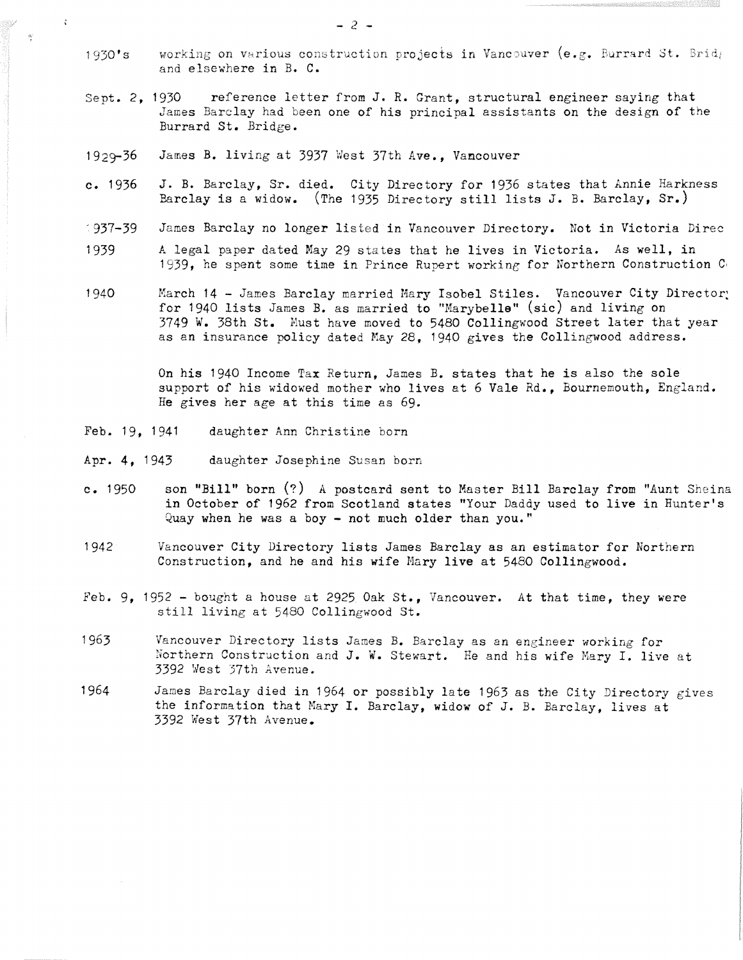- 1930's working on various construction projects in Vancouver (e.g. Burrard St. Bridger and elsewhere in B. C.
- Sept. 2, 1930 reference letter from J. R. Grant, structural engineer saying that James Barclay had been one of his principal assistants on the design of the Burrard St. Bridge.
- 1929-36 James B. living at 3937 West 37th Ave., Vancouver
- c. 1936 J. B. Barclay, Sr. died. City Directory for 1936 states that Annie Harkness Barclay is a widow. (The 1935 Directory still lists J. B. Barclay,  $Sr.$ )
- 1937-39 James Barclay no longer listed in Vancouver Directory. Not in Victoria Direc
- 1939 A legal paper dated May 29 states that he lives in Victoria. As well, in 1939, he spent some time in Prince Rupert working for Northern Construction C.
- 1940 March 14 James Barclay married Mary Isobel Stiles. Vancouver City Director: for 1940 lists James B. as married to "Marybelle" (sic) and living on  $3749$  W. 38th St. Must have moved to 5480 Collingwood Street later that year as an insurance policy dated May 28, 1940 gives the Collingwood address.

On his 1940 Income Tax Return, James B. states that he is also the sole support of his widowed mother who lives at 6 Vale Rd., Bournemouth, England. He gives her age at this time as 69.

Feb. 19, 1941 daughter Ann Christine born

 $\zeta$ 

 $\mathcal{O}$ 

- Apr. 4, 1943 daughter Josephine Susan born
- c. 1950 son "Bill" born (?) A postcard sent to Master Bill Barclay from "Aunt Sheina **in October of 1962 from Scotland states "Your Daddy used to live in Hunter ' Quay when he was a boy - not much older than you . "**
- 1942 Vancouver City Directory lists James Barclay as an estimator for Northern Construction, and he and his wife Mary live at 5480 Collingwood .
- Feb. 9, 1952 bought a house at 2925 Oak St., Vancouver. At that time, they were still living at 5480 Collingwood St.
- 1963 Vancouver Directory lists James B. Barclay as an engineer working for Northern Construction and J. W. Stewart. He and his wife Mary I. live at 3392 West 37th Avenue .
- 1964 James Barclay died in 1964 or possibly late 1963 as the City Directory gives the information that Mary I. Barclay, widow of J. B. Barclay, lives at 3392 west 37th Avenue .

 $-2 -$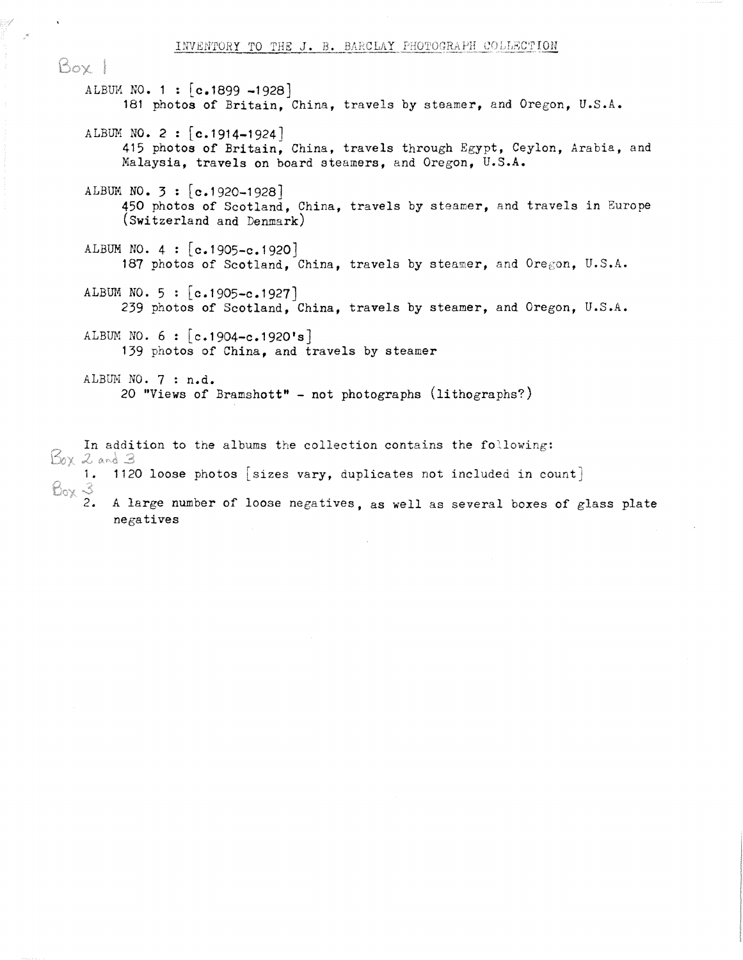Box 1 ALBUM NO. 1 :  $[c.1899 -1928]$ 181 photos of Britain, China, travels by steamer, and Oregon, U.S.A. ALBUM NO. 2 :  $[c.1914-1924]$ 415 photos of Britain, China, travels through Egypt, Ceylon, Arabia, and Malaysia, travels on board steamers, and Oregon, U.S.A. ALBUM NO.  $3 : [c.1920 - 1928]$ 450 photos of Scotland, China, travels by steamer, and travels in Europe (Switzerland and Denmark) ALBUM NO.  $4 : [c.1905-c.1920]$ 187 photos of Scotland, China, travels by steamer, and Oregon, U.S.A. ALBUM NO.  $5 : [c.1905-c.1927]$ 239 photos of Scotland, China, travels by steamer, and Oregon, U.S.A. ALBUM NO.  $6 : [c.1904-c.1920's]$ 139 photos of China, and travels by steamer ALBUM NO.  $7: n.d.$ 20 "Views of Bramshott" - not photographs (lithographs? )

In addition to the albums the collection contains the following:<br> $\beta_0 \times 2$  and 3

- 1. 1120 loose photos [sizes vary, duplicates not included in count]<br> $\bigotimes_{0 \times} \mathcal{F}$ <br>2. A large number of loose negatives, as well as several boxes of g
- 
- A large number of loose negatives, as well as several boxes of glass plate negatives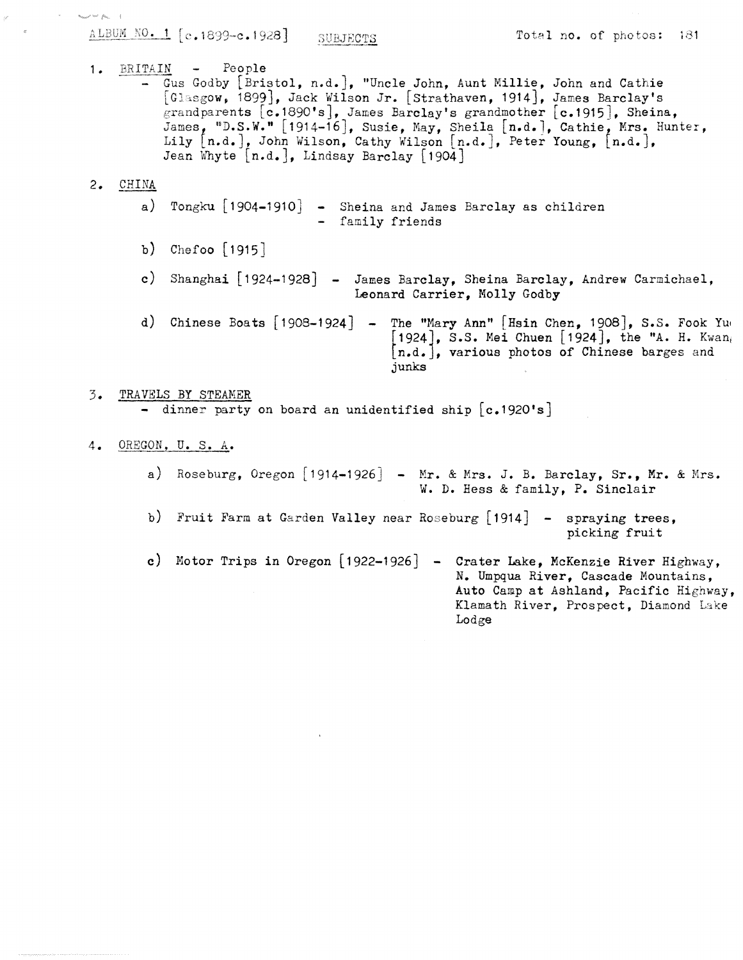$\frac{\text{A LBUM NO. 1}}{\text{NOL N}}$  [c.1899-c.1928] SUBJECTS Total no. of photos: 181

 $\label{eq:1} u_{\text{total}} \rho \sim \rho_{\text{min}} = 1$ 

Auto Camp at Ashland, Pacific Highway, Klamath River, Prospect, Diamond Lake

1. BRITAIN - People - Gus Godby [Bristol, n.d.], "Uncle John, Aunt Millie, John and Cathie [Glasgow, 1899], Jack Wilson Jr. [Strathaven, 1914], James Barclay's grandparents  $[c.1890's]$ , James Barclay's grandmother  $[c.1915]$ , Sheina, "D.S.W." [1914-16  $\bullet$ , Susie, May, Sheila [n.d.], Cathie, Mrs. Hunter, Lily  $\lfloor$ n.d.], John Wilson, Cathy Wilson  $\lfloor$ n.d.], Peter Young,  $\lfloor$ n.d.], Jean Whyte [n.d.], Lindsay Barclay [1904] 2. CHINA a) Tongku [1904-1910] - Sheina and James Barclay as children b) Chefoo [1915] c) Shanghai [1924-1928] - James Barclay, Sheina Barclay, Andrew Carmichael, d) Chinese Boats [1908-1924] - The "Mary Ann" [Hsin Chen, 1908], S.S. Fook Yue - family friends Leonard Carrier, Molly Godby  $\lfloor$ 1924], S.S. Mei Chuen  $\lfloor$ 1924], the "A. H. Kwan, [n.d.], various photos of Chinese barges and junks 3 . TRAVELS BY STEAMER - dinner party on board an unidentified ship  $[c.1920's]$ 4. OREGON, U. S. A. a) Roseburg, Oregon [1914-1926] - Mr. & Mrs. J. B. Barclay, Sr., Mr. & Mrs. W. D. Hess & family, P. Sinclair b) Fruit Farm at Garden Valley near Roseburg [1914] - spraying trees, picking fruit c) Motor Trips in Oregon  $[1922-1926]$  - Crater Lake, McKenzie River Highway, N. Umpqua River, Cascade Mountains ,

Lodge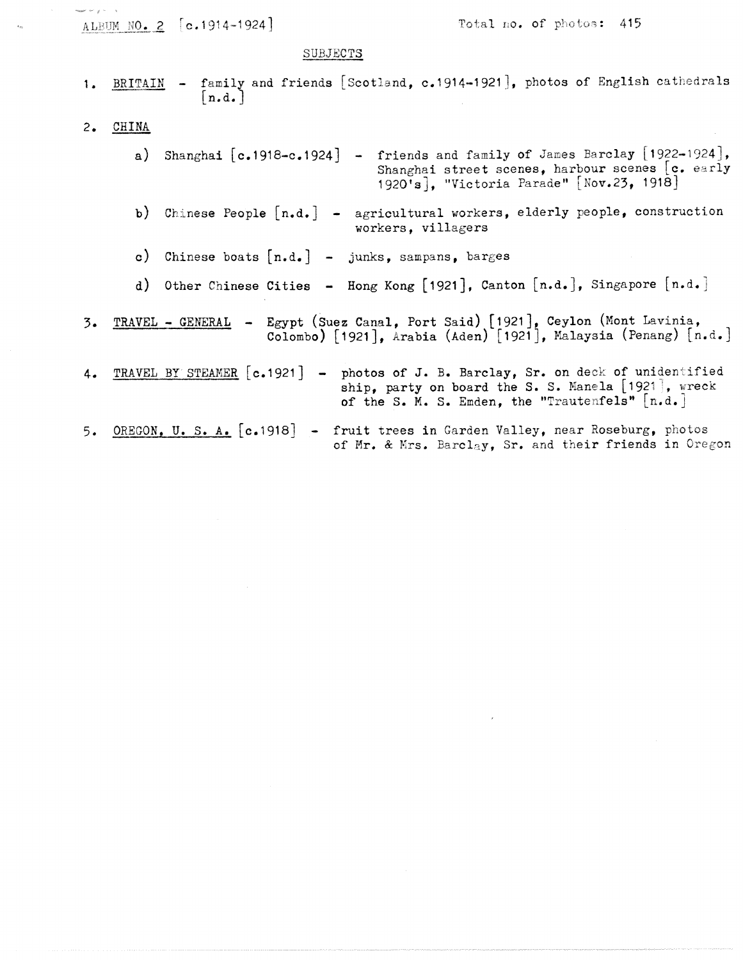| lease for group in a | ALBUM NO. 2 [c.1914-1924] | Total no. of photos: 415                                                                                                                                                                    |
|----------------------|---------------------------|---------------------------------------------------------------------------------------------------------------------------------------------------------------------------------------------|
|                      |                           | SUBJECTS                                                                                                                                                                                    |
| 1.                   | BRITAIN<br> n.d.          | - family and friends [Scotland, c.1914-1921], photos of English cathedrals                                                                                                                  |
| 2.                   | CHINA                     |                                                                                                                                                                                             |
|                      |                           | a) Shanghai $[c.1918-c.1924]$ - friends and family of James Barclay [1922-1924],<br>Shanghai street scenes, harbour scenes [c. early<br>1920's], "Victoria Parade" [Nov.23, 1918]           |
|                      |                           | b) Chinese People $[n.d.]$ - agricultural workers, elderly people, construction<br>workers, villagers                                                                                       |
|                      | $\mathbf{c}$ )            | Chinese boats $[n.d.]$ - junks, sampans, barges                                                                                                                                             |
|                      |                           | d) Other Chinese Cities - Hong Kong [1921], Canton [n.d.], Singapore [n.d.]                                                                                                                 |
| 3.                   |                           | TRAVEL - GENERAL - Egypt (Suez Canal, Port Said) [1921], Ceylon (Mont Lavinia,<br>Colombo) [1921], Arabia (Aden) [1921], Malaysia (Penang) [n.d.]                                           |
| 4.                   |                           | TRAVEL BY STEAMER [c.1921] - photos of J. B. Barclay, Sr. on deck of unidentified<br>ship, party on board the S. S. Manela [1921], wreck<br>of the S. M. S. Emden, the "Trautenfels" [n.d.] |
| 5.                   |                           | OREGON, U. S. A. [c.1918] - fruit trees in Garden Valley, near Roseburg, photos<br>of Mr. & Mrs. Barclay, Sr. and their friends in Oregon                                                   |

 $\label{eq:2.1} \frac{1}{\sqrt{2}}\int_{\mathbb{R}^3} \frac{1}{\sqrt{2}}\left(\frac{1}{\sqrt{2}}\right)^2\left(\frac{1}{\sqrt{2}}\right)^2\left(\frac{1}{\sqrt{2}}\right)^2\left(\frac{1}{\sqrt{2}}\right)^2\left(\frac{1}{\sqrt{2}}\right)^2\left(\frac{1}{\sqrt{2}}\right)^2.$ 

 $\epsilon_{\rm m}$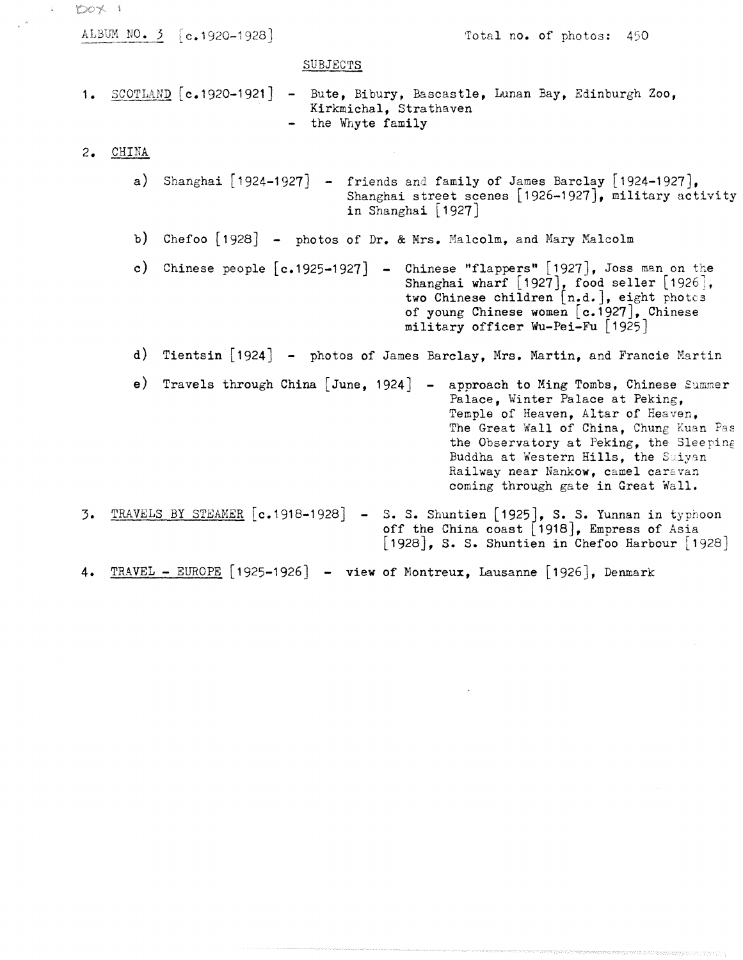$DOX<sub>1</sub>$ ALBUM NO. 3 [c.1920-1928] Total no. of photos: 450 SUBJECTS  $S$ COTLAND  $[c, 1920-1921]$  - Bute, Bibury, Bascastle, Lunan Bay, Edinburgh Zoo,  $1.$ Kirkmichal, Strathaven - the Whyte family  $2.$ CHINA a) Shanghai  $\lceil 1924 - 1927 \rceil$  - friends and family of James Barclay  $\lceil 1924 - 1927 \rceil$ , Shanghai street scenes  $[1926-1927]$ , military activity in Shanghai [1927 ] b) Chefoo [1928] - photos of Dr. & Mrs. Malcolm, and Mary Malcolm c) Chinese people  $[c.1925-1927]$  - Chinese "flappers"  $[1927]$ , Joss man on the Shanghai wharf  $[1927]$ , food seller  $[1926]$ , two Chinese children [n.d.], eight photos of young Chinese women  $[c.1927]$ , Chinese military officer Wu-Pei-Fu [1925 ] d) Tientsin [1924] - photos of James Barclay, Mrs. Martin, and Francie Martin **e**) Travels through China [June, 1924] - approach to Ming Tombs, Chinese Summer Palace. Winter Palace at Peking. Temple of Heaven, Altar of Heaven, The Great Wall of China, Chung Kuan Pas the Observatory at Peking, the Sleeping Buddha at Western Hills, the Suiyan Railway near Nankow, camel caravan coming through gate in Great Wall . TRAVELS BY STEAMER  $[c.1918-1928] - S. S.$  Shuntien  $[1925]$ , S. S. Yunnan in typhoon  $3.$ off the China coast [1918], Empress of Asia  $[1928]$ , S. S. Shuntien in Chefoo Harbour  $[1928]$ 

 $\hat{\mathbf{r}}$ 

4. TRAVEL - EUROPE [1925-1926] - view of Montreux, Lausanne [1926], Denmark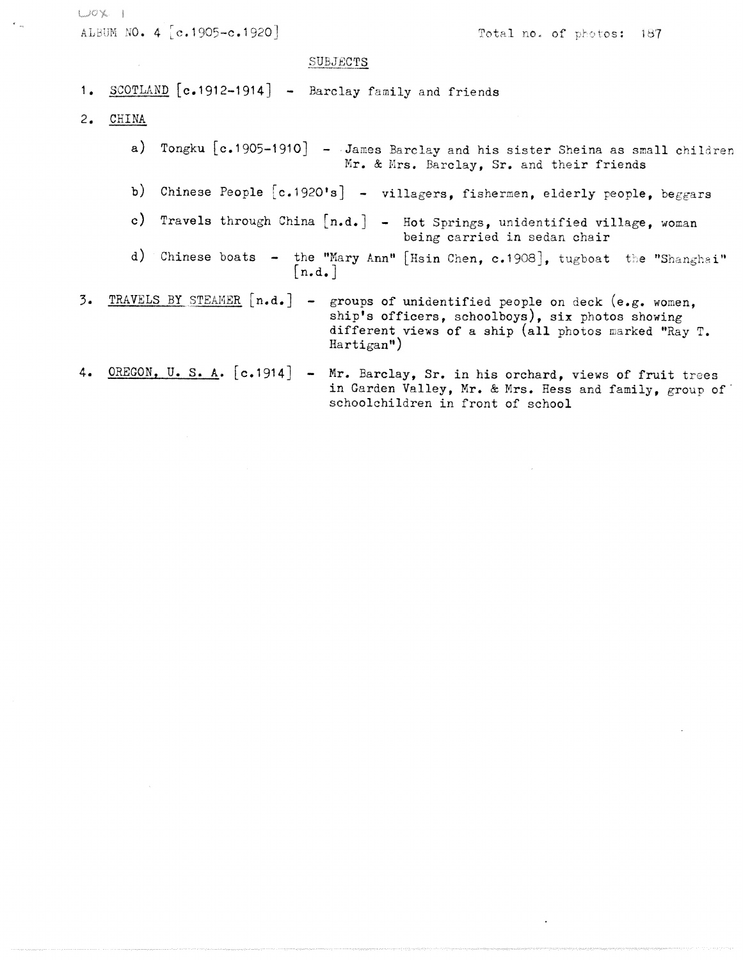$U^{\circ}X$  1

 $\mathcal{N}_{\rm{in}}$ 

ALBUM NO. 4 [c.1905-c.1920] Total no. of photos: 187

 $\sim 200$ 

 $\hat{\mathcal{A}}$ 

 $\sim$ 

#### SUBJECTS

| SUBJECTS                                                                                                                                                                                                   |
|------------------------------------------------------------------------------------------------------------------------------------------------------------------------------------------------------------|
| 1. SCOTLAND [c.1912-1914] - Barclay family and friends                                                                                                                                                     |
| 2. CHINA                                                                                                                                                                                                   |
| a) Tongku [c.1905-1910] - James Barclay and his sister Sheina as small children<br>Mr. & Mrs. Barclay, Sr. and their friends                                                                               |
| b) Chinese People [c.1920's] - villagers, fishermen, elderly people, beggars                                                                                                                               |
| c) Travels through China $[n.d.]$ - Hot Springs, unidentified village, woman<br>being carried in sedan chair                                                                                               |
| d) Chinese boats - the "Mary Ann" [Hsin Chen, c.1908], tugboat the "Shanghai"<br>$\lceil n.d. \rceil$                                                                                                      |
| 3. TRAVELS BY STEAMER [n.d.] - groups of unidentified people on deck (e.g. women,<br>ship's officers, schoolboys), six photos showing<br>different views of a ship (all photos marked "Ray T.<br>Hartigan' |
| 4. OREGON, U. S. A. [c.1914] - Mr. Barclay, Sr. in his orchard, views of fruit trees<br>in Garden Valley, Mr. & Mrs. Hess and family, group of<br>schoolchildren in front of school                        |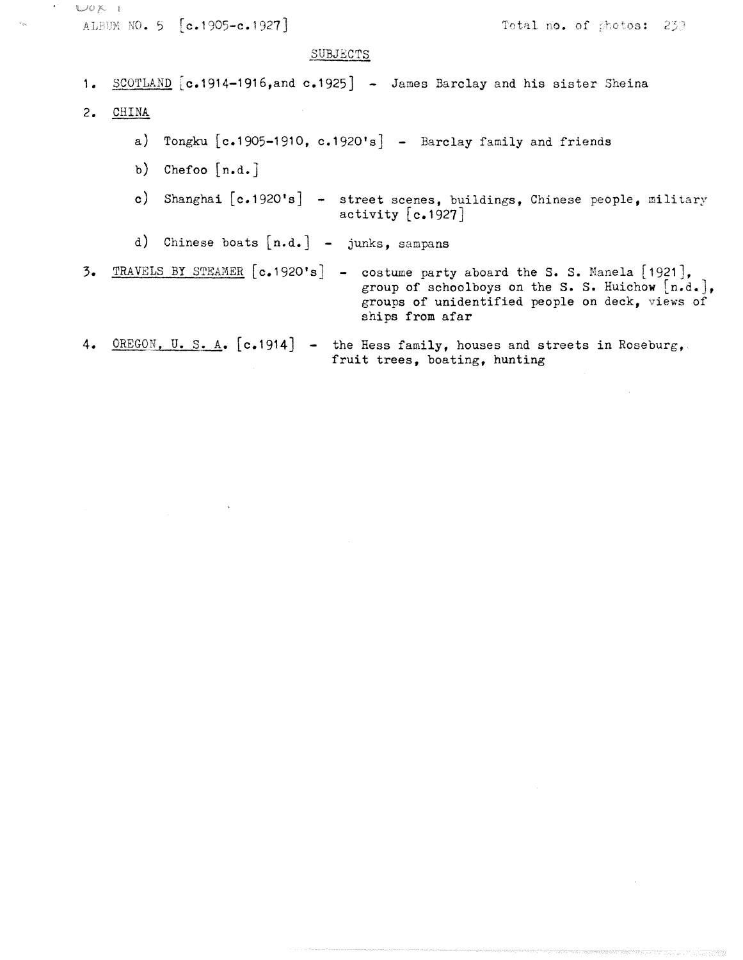```
UOK1ALBUM NO. 5 [c.1905-c.1927]
                                                        Total no. of photos: 239
                              SUBJECTS
 1. SCOTLAND [c.1914-1916, and c.1925] - James Barclay and his sister Sheina
 2. CHINA
       a) Tongku [c.1905-1910, c.1920's] - Barclay family and friends
       b) Chefoo [n.d.]c) Shanghai [c.1920's] - street scenes, buildings, Chinese people, military
                                  activity [c.1927]d) Chinese boats [n.d.] - junks, sampans
3. TRAVELS BY STEAMER [c.1920's] - costume party aboard the S. S. Manela [1921],
                                     group of schoolboys on the S. S. Huichow [n.d.],
                                     groups of unidentified people on deck, views of
                                     ships from afar
4. OREGON, U.S. A. [c.1914] - the Hess family, houses and streets in Roseburg,
                                 fruit trees, boating, hunting
```
 $\ddot{\phantom{a}}$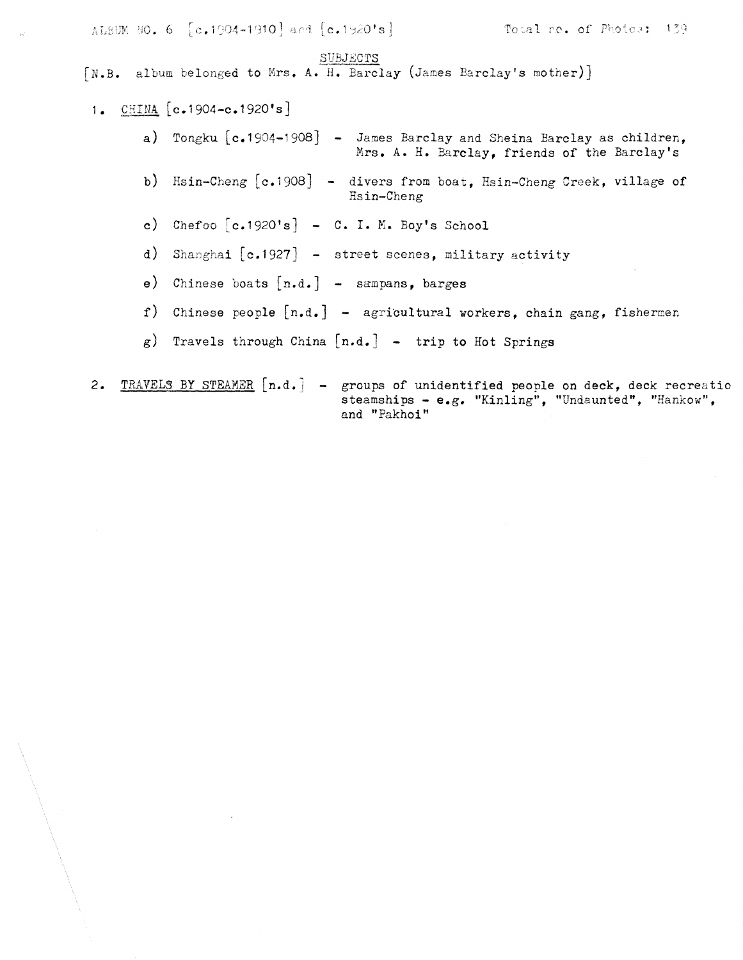ALBUM NO. 6 [c.1904-1910] and [c.1920's] Total no. of Photos: 139 SUBJECTS  $[N.B.$  album belonged to Mrs. A. H. Barclay (James Barclay's mother)] 1. CHINA  $[c.1904-c.1920]$ <sup>\*</sup>s] a) Tongku  $[c.1904-1908]$  - James Barclay and Sheina Barclay as children, Mrs. A. H. Barclay, friends of the Barclay's b) Hsin-Cheng  $[c.1908]$  - divers from boat, Hsin-Cheng Creek, village of Hsin-Cheng c) Chefoo  $[c.1920's] - C. I. M. Boy's School$ d) Shanghai  $[c.1927]$  - street scenes, military activity e) Chinese boats  $[n.d.]$  - sampans, barges f) Chinese people  $[n.d.]$  - agricultural workers, chain gang, fishermen  $g$ ) Travels through China  $[n.d.]$  - trip to Hot Springs

2. TRAVELS BY STEAMER [n.d.] - groups of unidentified people on deck, deck recreatio steamships - e.g. "Kinling", "Undaunted", "Hankow", and "Pakhoi"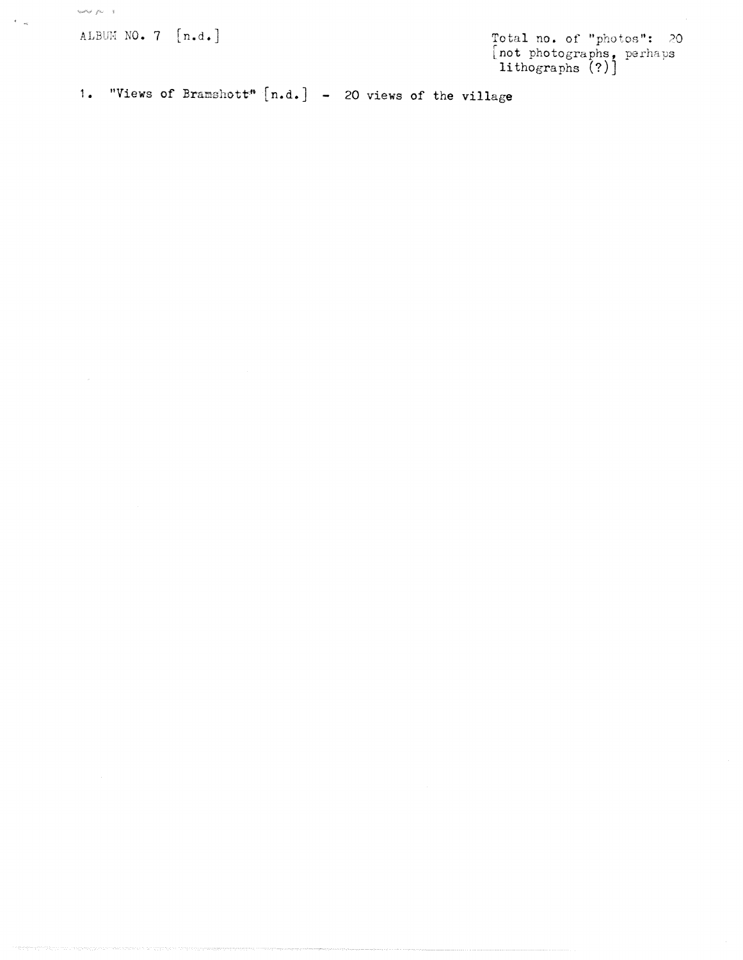ALBUM NO.  $7 \left[n.d.\right]$ 

 $\label{eq:1} \cos\theta\phi^i\neq \rho\phi^i=1.$ 

 $\omega$ 

 $\epsilon_{\rm max}$ 

 $[$ not photographs, lithographs (?)]

1. "Views of Bramshott"  $[n.d.]$  - 20 views of the village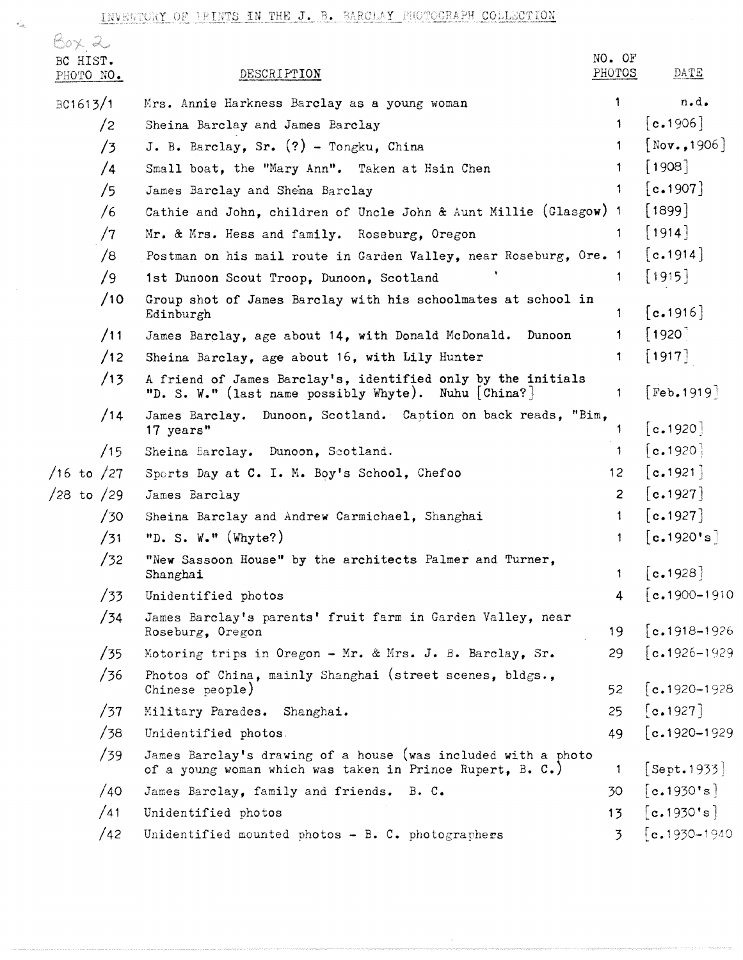| $60\times 20$<br>BC HIST.<br>PHOTO NO. |            | DESCRIPTION                                                                                                                | NO. OF<br>PHOTOS | DATE                           |
|----------------------------------------|------------|----------------------------------------------------------------------------------------------------------------------------|------------------|--------------------------------|
| BC1613/1                               |            | Mrs. Annie Harkness Barclay as a young woman                                                                               | 1.               | $n \cdot d \cdot$              |
|                                        | $\sqrt{2}$ | Sheina Barclay and James Barclay                                                                                           | 1.               | [c.1906]                       |
|                                        | /3         | J. B. Barclay, Sr. (?) - Tongku, China                                                                                     | $\mathbf{1}$     | $[$ Nov., 1906]                |
|                                        | /4         | Small boat, the "Mary Ann". Taken at Hsin Chen                                                                             | 1.               | 1908                           |
|                                        | /5         | James Barclay and Shema Barclay                                                                                            | 1                | [c.1907]                       |
|                                        | /6         | Cathie and John, children of Uncle John & Aunt Millie (Glasgow) 1                                                          |                  | $[1899]$                       |
|                                        | /7         | Mr. & Mrs. Hess and family. Roseburg, Oregon                                                                               | $\mathbf{1}$     | $[1914]$                       |
|                                        | /8         | Postman on his mail route in Garden Valley, near Roseburg, Ore. 1                                                          |                  | c.1914                         |
|                                        | /9         | 1st Dunoon Scout Troop, Dunoon, Scotland                                                                                   | 1.               | [1915]                         |
|                                        | /10        | Group shot of James Barclay with his schoolmates at school in<br>Edinburgh                                                 | $\mathbf{1}$     | [c.1916]                       |
|                                        | /11        | James Barclay, age about 14, with Donald McDonald.<br>Dunoon                                                               | 1.               | [1920]                         |
|                                        | /12        | Sheina Barclay, age about 16, with Lily Hunter                                                                             | 1.               | $[1917]$                       |
|                                        | /13        | A friend of James Barclay's, identified only by the initials<br>"D. S. W." (last name possibly Whyte). Nuhu [China?]       | $\mathbf{1}$     | [Feb.1919]                     |
|                                        | /14        | James Barclay. Dunoon, Scotland. Caption on back reads, "Bim,<br>17 years"                                                 | 1                | [c.1920]                       |
|                                        | /15        | Sheina Barclay. Dunoon, Scotland.                                                                                          | $\mathbf{1}$     | [c.1920]                       |
| $/16$ to $/27$                         |            | Sports Day at C. I. M. Boy's School, Chefoo                                                                                | 12 <sub>2</sub>  | c.1921                         |
| $/28$ to $/29$                         |            | James Barclay                                                                                                              | $\overline{2}$   | $\lceil c.1927 \rceil$         |
|                                        | /30        | Sheina Barclay and Andrew Carmichael, Shanghai                                                                             | $\mathbf{1}$     | $\lceil$ c.1927                |
|                                        | /31        | "D. S. W." (Whyte?)                                                                                                        | $\mathbf{1}$     | [c.1920's]                     |
|                                        | /32        | "New Sassoon House" by the architects Palmer and Turner,<br>Shanghai                                                       |                  | 1 $[c.1928]$                   |
|                                        | /33        | Unidentified photos                                                                                                        | 4 <sup>1</sup>   | $\lceil c.1900 - 1910 \rceil$  |
|                                        | /34        | James Barclay's parents' fruit farm in Garden Valley, near<br>Roseburg, Oregon                                             | 19 <sup>°</sup>  | $\lceil$ c.1918-1926           |
|                                        | /35        | Motoring trips in Oregon - Mr. & Mrs. J. B. Barclay, Sr.                                                                   | 29               | $[c.1926 - 1929]$              |
|                                        | /36        | Photos of China, mainly Shanghai (street scenes, bldgs.,<br>Chinese people)                                                | 52               | $\lceil$ c. 1920–1928          |
|                                        | /37        | Military Parades. Shanghai.                                                                                                | 25               | [c.1927]                       |
|                                        | /38        | Unidentified photos.                                                                                                       | 49               | $[c.1920 - 1929]$              |
|                                        | /39        | James Barclay's drawing of a house (was included with a photo<br>of a young woman which was taken in Prince Rupert, B. C.) | $\mathbf{1}$     | [Sept.1933]                    |
|                                        | /40        | James Barclay, family and friends. B. C.                                                                                   | 30               | [c.1930's]                     |
|                                        | /41        | Unidentified photos                                                                                                        | 13               | [c.1930's]                     |
|                                        | /42        | Unidentified mounted photos - $B. C.$ photographers                                                                        | 3                | $\left[ c.1930 - 1940 \right]$ |

 $\tilde{\mathcal{L}}_{\alpha\beta_{0}}$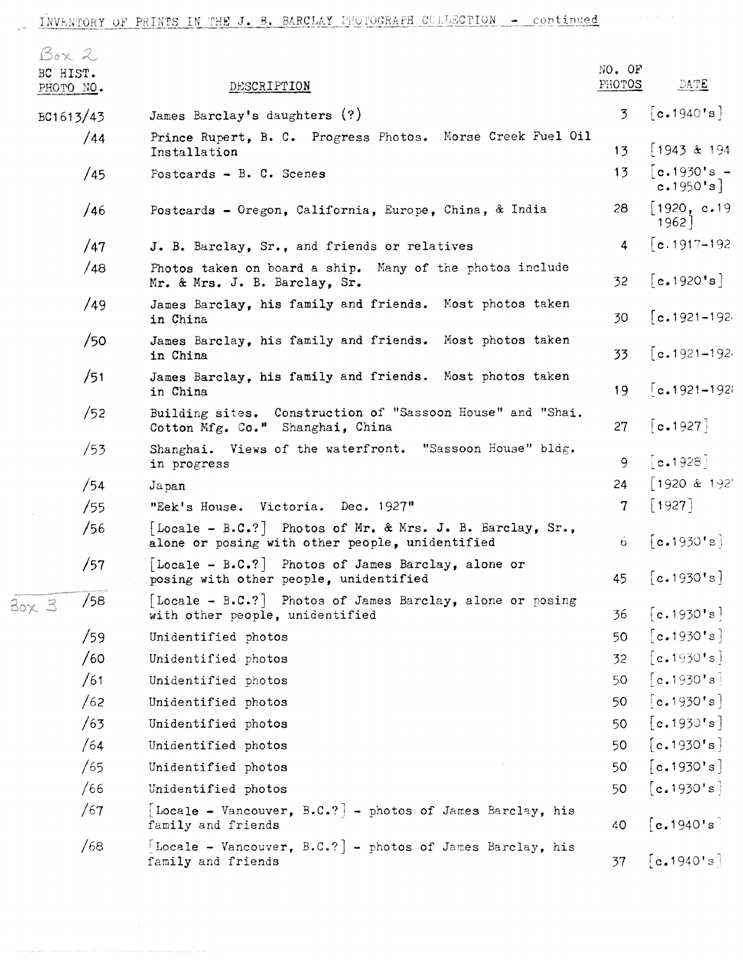| Box 2                 |           |                                                                                                              | NO. OF          |                                |
|-----------------------|-----------|--------------------------------------------------------------------------------------------------------------|-----------------|--------------------------------|
| BC HIST.<br>PHOTO NO. |           | DESCRIPTION                                                                                                  | PHOTOS          | DATE                           |
|                       | BC1613/43 | James Barclay's daughters (?)                                                                                | $\overline{3}$  | [c.1940's]                     |
|                       | /44       | Prince Rupert, B. C. Progress Photos. Morse Creek Fuel Oil<br>Installation                                   | 13 <sub>1</sub> | $1943$ & 194                   |
|                       | /45       | Postcards - B. C. Scenes                                                                                     | 13              | $[c.1930's -$<br>c.1950's]     |
|                       | /46       | Postcards - Oregon, California, Europe, China, & India                                                       | 28              | 1920, c.19<br>$1962$ ]         |
|                       | /47       | J. B. Barclay, Sr., and friends or relatives                                                                 | 4               | $\lceil$ c.1917–192            |
|                       | /48       | Photos taken on board a ship. Many of the photos include<br>Mr. & Mrs. J. B. Barclay, Sr.                    | 32 <sub>1</sub> | [c.1920's]                     |
|                       | /49       | James Barclay, his family and friends. Most photos taken<br>in China                                         | 30              | $[c.1921 - 192]$               |
|                       | /50       | James Barclay, his family and friends. Most photos taken<br>in China                                         | 33              | $\lceil$ c.1921-192            |
|                       | /51       | James Barclay, his family and friends. Most photos taken<br>in China                                         | 19              | $\left[ c.1921 - 1921 \right]$ |
|                       | /52       | Building sites. Construction of "Sassoon House" and "Shai.<br>Cotton Mfg. Co." Shanghai, China               | 27              | [c.1927]                       |
|                       | /53       | Shanghai. Views of the waterfront. "Sassoon House" bldg.<br>in progress                                      | 9               | [c.1928]                       |
|                       | /54       | Japan                                                                                                        | 24              | 1920 & 192'                    |
|                       | /55       | "Eek's House. Victoria. Dec. 1927"                                                                           | 7 <sup>1</sup>  | $[1927]$                       |
|                       | /56       | [Locale - B.C.?] Photos of Mr. & Mrs. J. B. Barclay, Sr.,<br>alone or posing with other people, unidentified | 6.              | [c.1930's]                     |
|                       | /57       | Locale - B.C.? Photos of James Barclay, alone or<br>posing with other people, unidentified                   | 45              | [c.1930's]                     |
| 30x3                  | /58       | Locale - B.C.?   Photos of James Barclay, alone or posing<br>with other people, unidentified                 | 36              | [c.1930's]                     |
|                       | /59       | Unidentified photos                                                                                          | 50              | [c.1930's]                     |
|                       | /60       | Unidentified photos                                                                                          | 32              | [c.1930's]                     |
|                       | /61       | Unidentified photos                                                                                          | 50              | [c.1930's]                     |
|                       | /62       | Unidentified photos                                                                                          | 50              | [c.1930's]                     |
|                       | /63       | Unidentified photos                                                                                          | 50              | [c.1930's]                     |
|                       | /64       | Unidentified photos                                                                                          | 50              | [c.1930's]                     |
|                       | /65       | Unidentified photos                                                                                          | 50              | [c.1930's]                     |
|                       | /66       | Unidentified photos                                                                                          | 50              | [c.1930's]                     |
|                       | /67       | [Locale - Vancouver, B.C.?] - photos of James Barclay, his<br>family and friends                             | 40              | [c.1940's]                     |
|                       | /68       | [Locale - Vancouver, B.C.?] - photos of James Barclay, his<br>family and friends                             | 37              | [c.1940's]                     |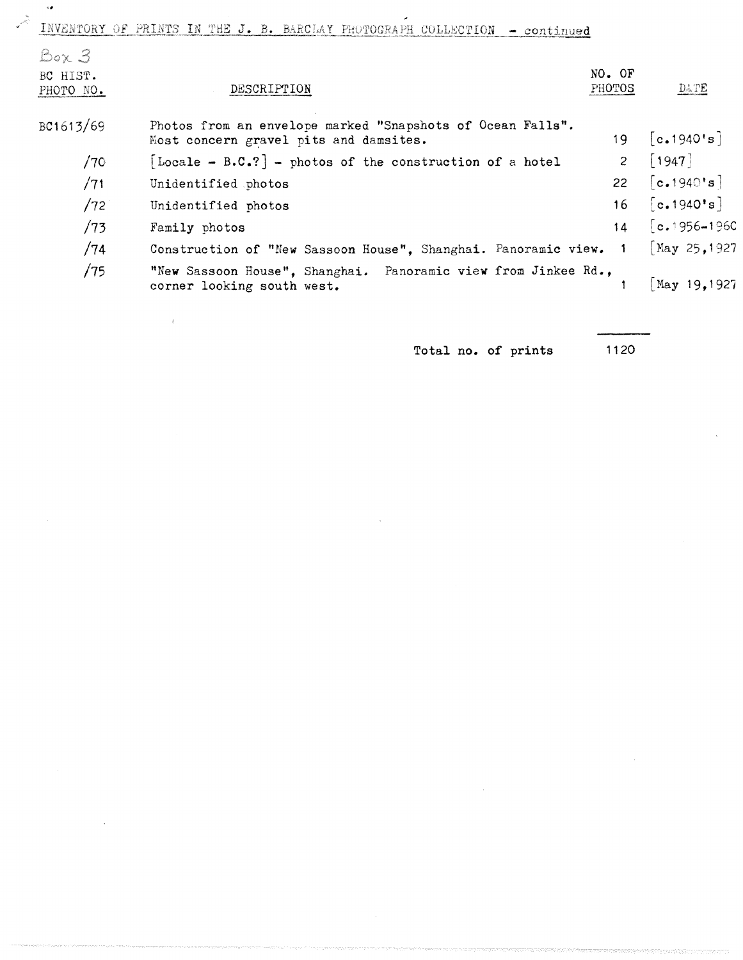INVENTORY OF PRINTS IN THE J. B. BARCLAY PHOTOGRAPH COLLECTION - continued

 $\overline{\mathcal{A}}$ 

| Box 3                 |                                                                                                      |                  |                                 |
|-----------------------|------------------------------------------------------------------------------------------------------|------------------|---------------------------------|
| BC HIST.<br>PHOTO NO. | DESCRIPTION                                                                                          | NO. OF<br>PHOTOS | $D \leqslant TE$                |
| BC1613/69             | Photos from an envelope marked "Snapshots of Ocean Falls".<br>Most concern gravel pits and damsites. |                  | 19 $[c.1940's]$                 |
| /70                   | [Locale - B.C.?] - photos of the construction of a hotel                                             | $2^{\circ}$      | $\lceil 1947 \rceil$            |
| /71                   | Unidentified photos                                                                                  | 22               | [c.1940's]                      |
| /72                   | Unidentified photos                                                                                  | 16               | [c.1940's]                      |
| /73                   | Family photos                                                                                        | 14               | $\lceil c_* 1956 - 1960 \rceil$ |
| /74                   | Construction of "New Sassoon House", Shanghai. Panoramic view. 1                                     |                  | May 25, 1927                    |
| /75                   | "New Sassoon House", Shanghai. Panoramic view from Jinkee Rd.,<br>corner looking south west.         |                  | May 19.1927                     |

Total no. of prints 1120